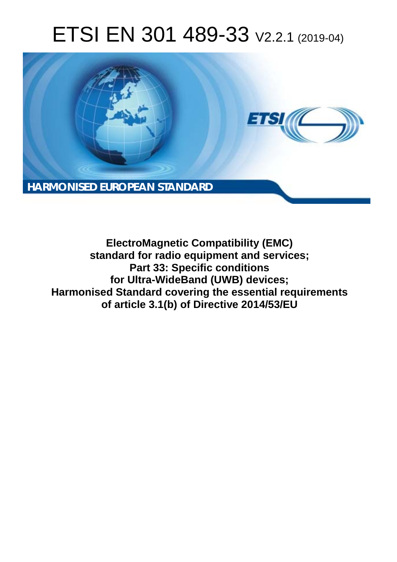# ETSI EN 301 489-33 V2.2.1 (2019-04)



**ElectroMagnetic Compatibility (EMC) standard for radio equipment and services; Part 33: Specific conditions for Ultra-WideBand (UWB) devices; Harmonised Standard covering the essential requirements of article 3.1(b) of Directive 2014/53/EU**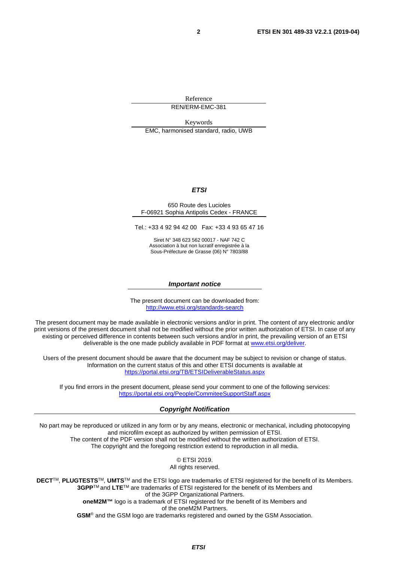Reference REN/ERM-EMC-381

Keywords EMC, harmonised standard, radio, UWB

#### *ETSI*

#### 650 Route des Lucioles F-06921 Sophia Antipolis Cedex - FRANCE

Tel.: +33 4 92 94 42 00 Fax: +33 4 93 65 47 16

Siret N° 348 623 562 00017 - NAF 742 C Association à but non lucratif enregistrée à la Sous-Préfecture de Grasse (06) N° 7803/88

#### *Important notice*

The present document can be downloaded from: <http://www.etsi.org/standards-search>

The present document may be made available in electronic versions and/or in print. The content of any electronic and/or print versions of the present document shall not be modified without the prior written authorization of ETSI. In case of any existing or perceived difference in contents between such versions and/or in print, the prevailing version of an ETSI deliverable is the one made publicly available in PDF format at [www.etsi.org/deliver](http://www.etsi.org/deliver).

Users of the present document should be aware that the document may be subject to revision or change of status. Information on the current status of this and other ETSI documents is available at <https://portal.etsi.org/TB/ETSIDeliverableStatus.aspx>

If you find errors in the present document, please send your comment to one of the following services: <https://portal.etsi.org/People/CommiteeSupportStaff.aspx>

#### *Copyright Notification*

No part may be reproduced or utilized in any form or by any means, electronic or mechanical, including photocopying and microfilm except as authorized by written permission of ETSI. The content of the PDF version shall not be modified without the written authorization of ETSI. The copyright and the foregoing restriction extend to reproduction in all media.

> © ETSI 2019. All rights reserved.

**DECT**TM, **PLUGTESTS**TM, **UMTS**TM and the ETSI logo are trademarks of ETSI registered for the benefit of its Members. **3GPP**TM and **LTE**TM are trademarks of ETSI registered for the benefit of its Members and of the 3GPP Organizational Partners. **oneM2M™** logo is a trademark of ETSI registered for the benefit of its Members and of the oneM2M Partners. **GSM**® and the GSM logo are trademarks registered and owned by the GSM Association.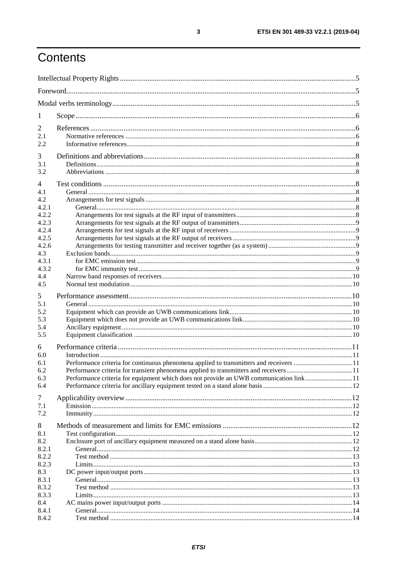# Contents

| 1                                                                |                                                                                                                                                                                                                                                                          |  |  |
|------------------------------------------------------------------|--------------------------------------------------------------------------------------------------------------------------------------------------------------------------------------------------------------------------------------------------------------------------|--|--|
| 2<br>2.1<br>2.2                                                  |                                                                                                                                                                                                                                                                          |  |  |
| 3<br>3.1<br>3.2                                                  |                                                                                                                                                                                                                                                                          |  |  |
| $\overline{4}$<br>4.1<br>4.2<br>4.2.1<br>4.2.2<br>4.2.3<br>4.2.4 |                                                                                                                                                                                                                                                                          |  |  |
| 4.2.5<br>4.2.6<br>4.3<br>4.3.1<br>4.3.2<br>4.4<br>4.5            |                                                                                                                                                                                                                                                                          |  |  |
| 5<br>5.1<br>5.2<br>5.3<br>5.4<br>5.5                             |                                                                                                                                                                                                                                                                          |  |  |
| 6<br>6.0<br>6.1<br>6.2<br>6.3<br>6.4                             | Performance criteria for continuous phenomena applied to transmitters and receivers 11<br>Performance criteria for transient phenomena applied to transmitters and receivers 11<br>Performance criteria for equipment which does not provide an UWB communication link11 |  |  |
| 7<br>7.1<br>7.2                                                  |                                                                                                                                                                                                                                                                          |  |  |
| 8<br>8.1<br>8.2<br>8.2.1<br>8.2.2                                |                                                                                                                                                                                                                                                                          |  |  |
| 8.2.3<br>8.3<br>8.3.1<br>8.3.2<br>8.3.3<br>8.4                   |                                                                                                                                                                                                                                                                          |  |  |
| 8.4.1<br>8.4.2                                                   |                                                                                                                                                                                                                                                                          |  |  |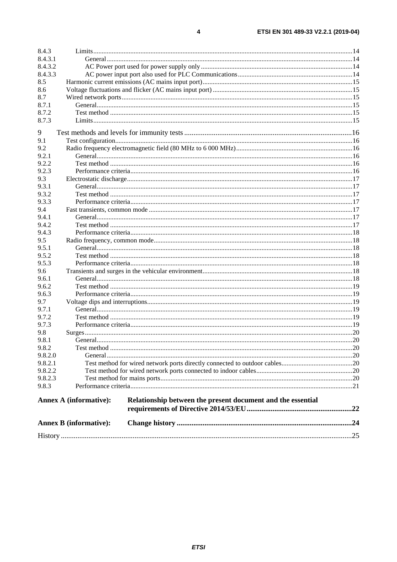| 8.4.3   |                                                                                              |  |  |  |
|---------|----------------------------------------------------------------------------------------------|--|--|--|
| 8.4.3.1 |                                                                                              |  |  |  |
| 8.4.3.2 |                                                                                              |  |  |  |
| 8.4.3.3 |                                                                                              |  |  |  |
| 8.5     |                                                                                              |  |  |  |
| 8.6     |                                                                                              |  |  |  |
| 8.7     |                                                                                              |  |  |  |
| 8.7.1   |                                                                                              |  |  |  |
| 8.7.2   |                                                                                              |  |  |  |
| 8.7.3   |                                                                                              |  |  |  |
| 9       |                                                                                              |  |  |  |
| 9.1     |                                                                                              |  |  |  |
| 9.2     |                                                                                              |  |  |  |
| 9.2.1   |                                                                                              |  |  |  |
| 9.2.2   |                                                                                              |  |  |  |
| 9.2.3   |                                                                                              |  |  |  |
| 9.3     |                                                                                              |  |  |  |
| 9.3.1   |                                                                                              |  |  |  |
| 9.3.2   |                                                                                              |  |  |  |
| 9.3.3   |                                                                                              |  |  |  |
| 9.4     |                                                                                              |  |  |  |
| 9.4.1   |                                                                                              |  |  |  |
| 9.4.2   |                                                                                              |  |  |  |
| 9.4.3   |                                                                                              |  |  |  |
| 9.5     |                                                                                              |  |  |  |
| 9.5.1   |                                                                                              |  |  |  |
| 9.5.2   |                                                                                              |  |  |  |
| 9.5.3   |                                                                                              |  |  |  |
| 9.6     |                                                                                              |  |  |  |
| 9.6.1   |                                                                                              |  |  |  |
| 9.6.2   |                                                                                              |  |  |  |
| 9.6.3   |                                                                                              |  |  |  |
| 9.7     |                                                                                              |  |  |  |
| 9.7.1   |                                                                                              |  |  |  |
| 9.7.2   |                                                                                              |  |  |  |
| 9.7.3   |                                                                                              |  |  |  |
| 9.8     |                                                                                              |  |  |  |
| 9.8.1   |                                                                                              |  |  |  |
| 9.8.2   |                                                                                              |  |  |  |
| 9.8.2.0 |                                                                                              |  |  |  |
| 9.8.2.1 |                                                                                              |  |  |  |
| 9.8.2.2 |                                                                                              |  |  |  |
| 9.8.2.3 |                                                                                              |  |  |  |
| 9.8.3   |                                                                                              |  |  |  |
|         |                                                                                              |  |  |  |
|         | Relationship between the present document and the essential<br><b>Annex A (informative):</b> |  |  |  |
|         |                                                                                              |  |  |  |
|         | <b>Annex B</b> (informative):                                                                |  |  |  |
|         |                                                                                              |  |  |  |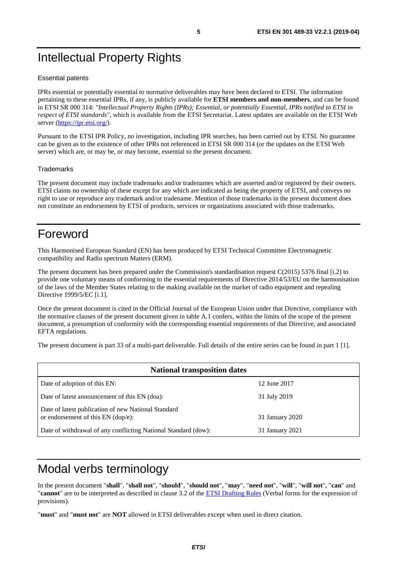# <span id="page-4-0"></span>Intellectual Property Rights

#### Essential patents

IPRs essential or potentially essential to normative deliverables may have been declared to ETSI. The information pertaining to these essential IPRs, if any, is publicly available for **ETSI members and non-members**, and can be found in ETSI SR 000 314: *"Intellectual Property Rights (IPRs); Essential, or potentially Essential, IPRs notified to ETSI in respect of ETSI standards"*, which is available from the ETSI Secretariat. Latest updates are available on the ETSI Web server (<https://ipr.etsi.org/>).

Pursuant to the ETSI IPR Policy, no investigation, including IPR searches, has been carried out by ETSI. No guarantee can be given as to the existence of other IPRs not referenced in ETSI SR 000 314 (or the updates on the ETSI Web server) which are, or may be, or may become, essential to the present document.

#### **Trademarks**

The present document may include trademarks and/or tradenames which are asserted and/or registered by their owners. ETSI claims no ownership of these except for any which are indicated as being the property of ETSI, and conveys no right to use or reproduce any trademark and/or tradename. Mention of those trademarks in the present document does not constitute an endorsement by ETSI of products, services or organizations associated with those trademarks.

# Foreword

This Harmonised European Standard (EN) has been produced by ETSI Technical Committee Electromagnetic compatibility and Radio spectrum Matters (ERM).

The present document has been prepared under the Commission's standardisation request C(2015) 5376 final [\[i.2\]](#page-7-0) to provide one voluntary means of conforming to the essential requirements of Directive 2014/53/EU on the harmonisation of the laws of the Member States relating to the making available on the market of radio equipment and repealing Directive 1999/5/EC [\[i.1](#page-7-0)].

Once the present document is cited in the Official Journal of the European Union under that Directive, compliance with the normative clauses of the present document given in table A.1 confers, within the limits of the scope of the present document, a presumption of conformity with the corresponding essential requirements of that Directive, and associated EFTA regulations.

The present document is part 33 of a multi-part deliverable. Full details of the entire series can be found in part 1 [[1\]](#page-6-0).

| <b>National transposition dates</b>                                                       |                 |  |  |
|-------------------------------------------------------------------------------------------|-----------------|--|--|
| Date of adoption of this EN:                                                              | 12 June 2017    |  |  |
| Date of latest announcement of this EN (doa):                                             | 31 July 2019    |  |  |
| Date of latest publication of new National Standard<br>or endorsement of this EN (dop/e): | 31 January 2020 |  |  |
| Date of withdrawal of any conflicting National Standard (dow):                            | 31 January 2021 |  |  |

# Modal verbs terminology

In the present document "**shall**", "**shall not**", "**should**", "**should not**", "**may**", "**need not**", "**will**", "**will not**", "**can**" and "**cannot**" are to be interpreted as described in clause 3.2 of the [ETSI Drafting Rules](https://portal.etsi.org/Services/editHelp!/Howtostart/ETSIDraftingRules.aspx) (Verbal forms for the expression of provisions).

"**must**" and "**must not**" are **NOT** allowed in ETSI deliverables except when used in direct citation.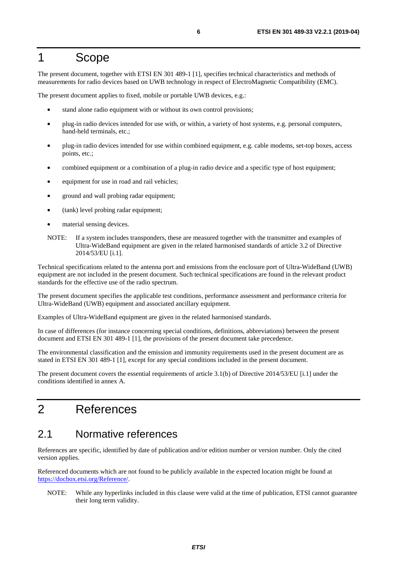# <span id="page-5-0"></span>1 Scope

The present document, together with ETSI EN 301 489-1 [\[1](#page-6-0)], specifies technical characteristics and methods of measurements for radio devices based on UWB technology in respect of ElectroMagnetic Compatibility (EMC).

The present document applies to fixed, mobile or portable UWB devices, e.g.:

- stand alone radio equipment with or without its own control provisions;
- plug-in radio devices intended for use with, or within, a variety of host systems, e.g. personal computers, hand-held terminals, etc.;
- plug-in radio devices intended for use within combined equipment, e.g. cable modems, set-top boxes, access points, etc.;
- combined equipment or a combination of a plug-in radio device and a specific type of host equipment;
- equipment for use in road and rail vehicles;
- ground and wall probing radar equipment;
- (tank) level probing radar equipment;
- material sensing devices.
- NOTE: If a system includes transponders, these are measured together with the transmitter and examples of Ultra-WideBand equipment are given in the related harmonised standards of article 3.2 of Directive 2014/53/EU [\[i.1](#page-7-0)].

Technical specifications related to the antenna port and emissions from the enclosure port of Ultra-WideBand (UWB) equipment are not included in the present document. Such technical specifications are found in the relevant product standards for the effective use of the radio spectrum.

The present document specifies the applicable test conditions, performance assessment and performance criteria for Ultra-WideBand (UWB) equipment and associated ancillary equipment.

Examples of Ultra-WideBand equipment are given in the related harmonised standards.

In case of differences (for instance concerning special conditions, definitions, abbreviations) between the present document and ETSI EN 301 489-1 [[1\]](#page-6-0), the provisions of the present document take precedence.

The environmental classification and the emission and immunity requirements used in the present document are as stated in ETSI EN 301 489-1 [[1\]](#page-6-0), except for any special conditions included in the present document.

The present document covers the essential requirements of article 3.1(b) of Directive 2014/53/EU [\[i.1](#page-7-0)] under the conditions identified in annex A.

# 2 References

### 2.1 Normative references

References are specific, identified by date of publication and/or edition number or version number. Only the cited version applies.

Referenced documents which are not found to be publicly available in the expected location might be found at <https://docbox.etsi.org/Reference/>.

NOTE: While any hyperlinks included in this clause were valid at the time of publication, ETSI cannot guarantee their long term validity.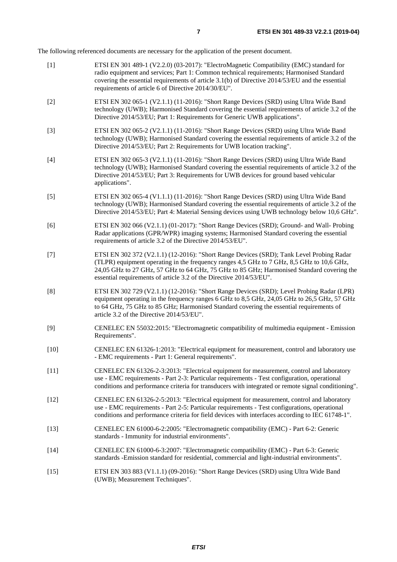<span id="page-6-0"></span>The following referenced documents are necessary for the application of the present document.

| $[1]$  | ETSI EN 301 489-1 (V2.2.0) (03-2017): "ElectroMagnetic Compatibility (EMC) standard for<br>radio equipment and services; Part 1: Common technical requirements; Harmonised Standard<br>covering the essential requirements of article 3.1(b) of Directive 2014/53/EU and the essential<br>requirements of article 6 of Directive 2014/30/EU".             |
|--------|-----------------------------------------------------------------------------------------------------------------------------------------------------------------------------------------------------------------------------------------------------------------------------------------------------------------------------------------------------------|
| $[2]$  | ETSI EN 302 065-1 (V2.1.1) (11-2016): "Short Range Devices (SRD) using Ultra Wide Band<br>technology (UWB); Harmonised Standard covering the essential requirements of article 3.2 of the<br>Directive 2014/53/EU; Part 1: Requirements for Generic UWB applications".                                                                                    |
| $[3]$  | ETSI EN 302 065-2 (V2.1.1) (11-2016): "Short Range Devices (SRD) using Ultra Wide Band<br>technology (UWB); Harmonised Standard covering the essential requirements of article 3.2 of the<br>Directive 2014/53/EU; Part 2: Requirements for UWB location tracking".                                                                                       |
| $[4]$  | ETSI EN 302 065-3 (V2.1.1) (11-2016): "Short Range Devices (SRD) using Ultra Wide Band<br>technology (UWB); Harmonised Standard covering the essential requirements of article 3.2 of the<br>Directive 2014/53/EU; Part 3: Requirements for UWB devices for ground based vehicular<br>applications".                                                      |
| $[5]$  | ETSI EN 302 065-4 (V1.1.1) (11-2016): "Short Range Devices (SRD) using Ultra Wide Band<br>technology (UWB); Harmonised Standard covering the essential requirements of article 3.2 of the<br>Directive 2014/53/EU; Part 4: Material Sensing devices using UWB technology below 10,6 GHz".                                                                 |
| [6]    | ETSI EN 302 066 (V2.1.1) (01-2017): "Short Range Devices (SRD); Ground- and Wall- Probing<br>Radar applications (GPR/WPR) imaging systems; Harmonised Standard covering the essential<br>requirements of article 3.2 of the Directive 2014/53/EU".                                                                                                        |
| $[7]$  | ETSI EN 302 372 (V2.1.1) (12-2016): "Short Range Devices (SRD); Tank Level Probing Radar<br>(TLPR) equipment operating in the frequency ranges 4,5 GHz to 7 GHz, 8,5 GHz to 10,6 GHz,<br>24,05 GHz to 27 GHz, 57 GHz to 64 GHz, 75 GHz to 85 GHz; Harmonised Standard covering the<br>essential requirements of article 3.2 of the Directive 2014/53/EU". |
| [8]    | ETSI EN 302 729 (V2.1.1) (12-2016): "Short Range Devices (SRD); Level Probing Radar (LPR)<br>equipment operating in the frequency ranges 6 GHz to 8,5 GHz, 24,05 GHz to 26,5 GHz, 57 GHz<br>to 64 GHz, 75 GHz to 85 GHz; Harmonised Standard covering the essential requirements of<br>article 3.2 of the Directive 2014/53/EU".                          |
| [9]    | CENELEC EN 55032:2015: "Electromagnetic compatibility of multimedia equipment - Emission<br>Requirements".                                                                                                                                                                                                                                                |
| $[10]$ | CENELEC EN 61326-1:2013: "Electrical equipment for measurement, control and laboratory use<br>- EMC requirements - Part 1: General requirements".                                                                                                                                                                                                         |
| $[11]$ | CENELEC EN 61326-2-3:2013: "Electrical equipment for measurement, control and laboratory<br>use - EMC requirements - Part 2-3: Particular requirements - Test configuration, operational<br>conditions and performance criteria for transducers with integrated or remote signal conditioning".                                                           |
| $[12]$ | CENELEC EN 61326-2-5:2013: "Electrical equipment for measurement, control and laboratory<br>use - EMC requirements - Part 2-5: Particular requirements - Test configurations, operational<br>conditions and performance criteria for field devices with interfaces according to IEC 61748-1".                                                             |
| $[13]$ | CENELEC EN 61000-6-2:2005: "Electromagnetic compatibility (EMC) - Part 6-2: Generic<br>standards - Immunity for industrial environments".                                                                                                                                                                                                                 |
| $[14]$ | CENELEC EN 61000-6-3:2007: "Electromagnetic compatibility (EMC) - Part 6-3: Generic<br>standards -Emission standard for residential, commercial and light-industrial environments".                                                                                                                                                                       |
| [15]   | ETSI EN 303 883 (V1.1.1) (09-2016): "Short Range Devices (SRD) using Ultra Wide Band                                                                                                                                                                                                                                                                      |

[15] ETSI EN 303 883 (V1.1.1) (09-2016): "Short Range Devices (SRD) using Ultra Wide Band (UWB); Measurement Techniques".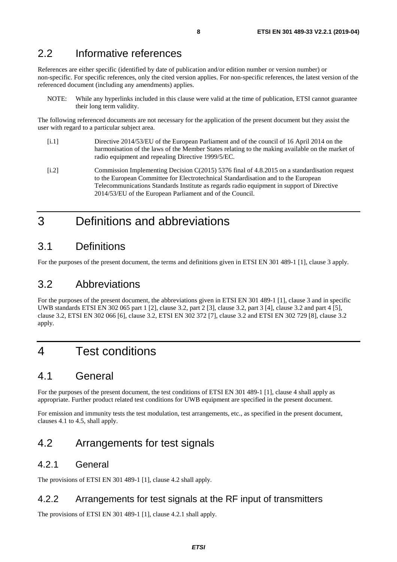# <span id="page-7-0"></span>2.2 Informative references

References are either specific (identified by date of publication and/or edition number or version number) or non-specific. For specific references, only the cited version applies. For non-specific references, the latest version of the referenced document (including any amendments) applies.

NOTE: While any hyperlinks included in this clause were valid at the time of publication, ETSI cannot guarantee their long term validity.

The following referenced documents are not necessary for the application of the present document but they assist the user with regard to a particular subject area.

- [i.1] Directive 2014/53/EU of the European Parliament and of the council of 16 April 2014 on the harmonisation of the laws of the Member States relating to the making available on the market of radio equipment and repealing Directive 1999/5/EC.
- [i.2] Commission Implementing Decision C(2015) 5376 final of 4.8.2015 on a standardisation request to the European Committee for Electrotechnical Standardisation and to the European Telecommunications Standards Institute as regards radio equipment in support of Directive 2014/53/EU of the European Parliament and of the Council.

# 3 Definitions and abbreviations

# 3.1 Definitions

For the purposes of the present document, the terms and definitions given in ETSI EN 301 489-1 [[1\]](#page-6-0), clause 3 apply.

# 3.2 Abbreviations

For the purposes of the present document, the abbreviations given in ETSI EN 301 489-1 [\[1](#page-6-0)], clause 3 and in specific UWB standards ETSI EN 302 065 part 1 [[2](#page-6-0)], clause 3.2, part 2 [\[3](#page-6-0)], clause 3.2, part 3 [\[4](#page-6-0)], clause 3.2 and part 4 [\[5](#page-6-0)], clause 3.2, ETSI EN 302 066 [\[6](#page-6-0)], clause 3.2, ETSI EN 302 372 [\[7](#page-6-0)], clause 3.2 and ETSI EN 302 729 [[8\]](#page-6-0), clause 3.2 apply.

# 4 Test conditions

# 4.1 General

For the purposes of the present document, the test conditions of ETSI EN 301 489-1 [\[1](#page-6-0)], clause 4 shall apply as appropriate. Further product related test conditions for UWB equipment are specified in the present document.

For emission and immunity tests the test modulation, test arrangements, etc., as specified in the present document, clauses 4.1 to 4.5, shall apply.

# 4.2 Arrangements for test signals

#### 4.2.1 General

The provisions of ETSI EN 301 489-1 [[1\]](#page-6-0), clause 4.2 shall apply.

#### 4.2.2 Arrangements for test signals at the RF input of transmitters

The provisions of ETSI EN 301 489-1 [[1\]](#page-6-0), clause 4.2.1 shall apply.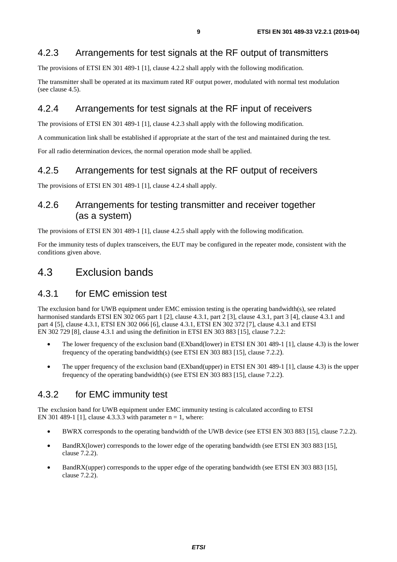### <span id="page-8-0"></span>4.2.3 Arrangements for test signals at the RF output of transmitters

The provisions of ETSI EN 301 489-1 [[1\]](#page-6-0), clause 4.2.2 shall apply with the following modification.

The transmitter shall be operated at its maximum rated RF output power, modulated with normal test modulation (see clause 4.5).

### 4.2.4 Arrangements for test signals at the RF input of receivers

The provisions of ETSI EN 301 489-1 [[1\]](#page-6-0), clause 4.2.3 shall apply with the following modification.

A communication link shall be established if appropriate at the start of the test and maintained during the test.

For all radio determination devices, the normal operation mode shall be applied.

#### 4.2.5 Arrangements for test signals at the RF output of receivers

The provisions of ETSI EN 301 489-1 [[1\]](#page-6-0), clause 4.2.4 shall apply.

### 4.2.6 Arrangements for testing transmitter and receiver together (as a system)

The provisions of ETSI EN 301 489-1 [[1\]](#page-6-0), clause 4.2.5 shall apply with the following modification.

For the immunity tests of duplex transceivers, the EUT may be configured in the repeater mode, consistent with the conditions given above.

# 4.3 Exclusion bands

#### 4.3.1 for EMC emission test

The exclusion band for UWB equipment under EMC emission testing is the operating bandwidth(s), see related harmonised standards ETSI EN 302 065 part 1 [\[2](#page-6-0)], clause 4.3.1, part 2 [\[3](#page-6-0)], clause 4.3.1, part 3 [\[4](#page-6-0)], clause 4.3.1 and part 4 [\[5](#page-6-0)], clause 4.3.1, ETSI EN 302 066 [\[6](#page-6-0)], clause 4.3.1, ETSI EN 302 372 [[7\]](#page-6-0), clause 4.3.1 and ETSI EN 302 729 [[8](#page-6-0)], clause 4.3.1 and using the definition in ETSI EN 303 883 [[15](#page-6-0)], clause 7.2.2:

- The lower frequency of the exclusion band (EXband(lower) in ETSI EN 30[1](#page-6-0) 489-1 [1], clause 4.3) is the lower frequency of the operating bandwidth(s) (see ETSI EN 303 883 [\[15](#page-6-0)], clause 7.2.2).
- The upper frequency of the exclusion band (EXband(upper) in ETSI EN 301 489-1 [\[1](#page-6-0)], clause 4.3) is the upper frequency of the operating bandwidth(s) (see ETSI EN 303 883 [\[15](#page-6-0)], clause 7.2.2).

### 4.3.2 for EMC immunity test

The exclusion band for UWB equipment under EMC immunity testing is calculated according to ETSI EN 301 489-1 [\[1](#page-6-0)], clause 4.3.3.3 with parameter  $n = 1$ , where:

- BWRX corresponds to the operating bandwidth of the UWB device (see ETSI EN 303 883 [\[15](#page-6-0)], clause 7.2.2).
- BandRX(lower) corresponds to the lower edge of the operating bandwidth (see ETSI EN 303 883 [[15\]](#page-6-0), clause 7.2.2).
- BandRX(upper) corresponds to the upper edge of the operating bandwidth (see ETSI EN 303 883 [[15\]](#page-6-0), clause 7.2.2).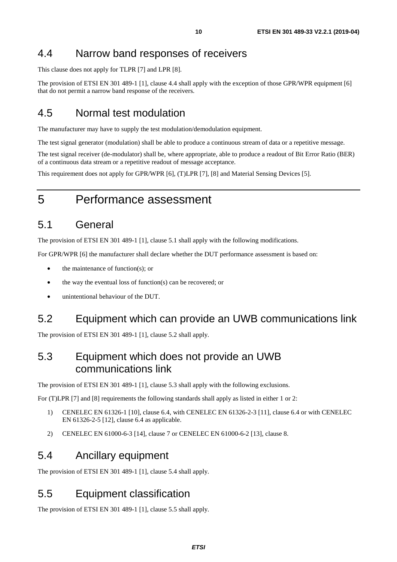# <span id="page-9-0"></span>4.4 Narrow band responses of receivers

This clause does not apply for TLPR [\[7](#page-6-0)] and LPR [\[8](#page-6-0)].

The provision of ETSI EN 301 489-1 [[1\]](#page-6-0), clause 4.4 shall apply with the exception of those GPR/WPR equipment [[6\]](#page-6-0) that do not permit a narrow band response of the receivers.

# 4.5 Normal test modulation

The manufacturer may have to supply the test modulation/demodulation equipment.

The test signal generator (modulation) shall be able to produce a continuous stream of data or a repetitive message.

The test signal receiver (de-modulator) shall be, where appropriate, able to produce a readout of Bit Error Ratio (BER) of a continuous data stream or a repetitive readout of message acceptance.

This requirement does not apply for GPR/WPR [\[6](#page-6-0)], (T)LPR [[7\]](#page-6-0), [\[8](#page-6-0)] and Material Sensing Devices [\[5](#page-6-0)].

# 5 Performance assessment

# 5.1 General

The provision of ETSI EN 301 489-1 [[1\]](#page-6-0), clause 5.1 shall apply with the following modifications.

For GPR/WPR [[6\]](#page-6-0) the manufacturer shall declare whether the DUT performance assessment is based on:

- the maintenance of function(s); or
- the way the eventual loss of function(s) can be recovered; or
- unintentional behaviour of the DUT.

# 5.2 Equipment which can provide an UWB communications link

The provision of ETSI EN 301 489-1 [[1\]](#page-6-0), clause 5.2 shall apply.

# 5.3 Equipment which does not provide an UWB communications link

The provision of ETSI EN 301 489-1 [[1\]](#page-6-0), clause 5.3 shall apply with the following exclusions.

For (T)LPR [[7\]](#page-6-0) and [\[8](#page-6-0)] requirements the following standards shall apply as listed in either 1 or 2:

- 1) CENELEC EN 61326-1 [[10\]](#page-6-0), clause 6.4, with CENELEC EN 61326-2-3 [\[11](#page-6-0)], clause 6.4 or with CENELEC EN 61326-2-5 [[12\]](#page-6-0), clause 6.4 as applicable.
- 2) CENELEC EN 61000-6-3 [\[14](#page-6-0)], clause 7 or CENELEC EN 61000-6-2 [\[13](#page-6-0)], clause 8.

### 5.4 Ancillary equipment

The provision of ETSI EN 301 489-1 [[1\]](#page-6-0), clause 5.4 shall apply.

# 5.5 Equipment classification

The provision of ETSI EN 301 489-1 [[1\]](#page-6-0), clause 5.5 shall apply.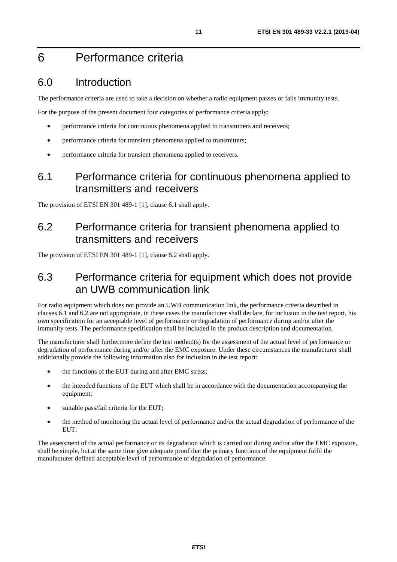# <span id="page-10-0"></span>6 Performance criteria

# 6.0 Introduction

The performance criteria are used to take a decision on whether a radio equipment passes or fails immunity tests.

For the purpose of the present document four categories of performance criteria apply:

- performance criteria for continuous phenomena applied to transmitters and receivers;
- performance criteria for transient phenomena applied to transmitters;
- performance criteria for transient phenomena applied to receivers.

# 6.1 Performance criteria for continuous phenomena applied to transmitters and receivers

The provision of ETSI EN 301 489-1 [[1\]](#page-6-0), clause 6.1 shall apply.

# 6.2 Performance criteria for transient phenomena applied to transmitters and receivers

The provision of ETSI EN 301 489-1 [[1\]](#page-6-0), clause 6.2 shall apply.

# 6.3 Performance criteria for equipment which does not provide an UWB communication link

For radio equipment which does not provide an UWB communication link, the performance criteria described in clauses 6.1 and 6.2 are not appropriate, in these cases the manufacturer shall declare, for inclusion in the test report, his own specification for an acceptable level of performance or degradation of performance during and/or after the immunity tests. The performance specification shall be included in the product description and documentation.

The manufacturer shall furthermore define the test method(s) for the assessment of the actual level of performance or degradation of performance during and/or after the EMC exposure. Under these circumstances the manufacturer shall additionally provide the following information also for inclusion in the test report:

- the functions of the EUT during and after EMC stress;
- the intended functions of the EUT which shall be in accordance with the documentation accompanying the equipment;
- suitable pass/fail criteria for the EUT;
- the method of monitoring the actual level of performance and/or the actual degradation of performance of the EUT.

The assessment of the actual performance or its degradation which is carried out during and/or after the EMC exposure, shall be simple, but at the same time give adequate proof that the primary functions of the equipment fulfil the manufacturer defined acceptable level of performance or degradation of performance.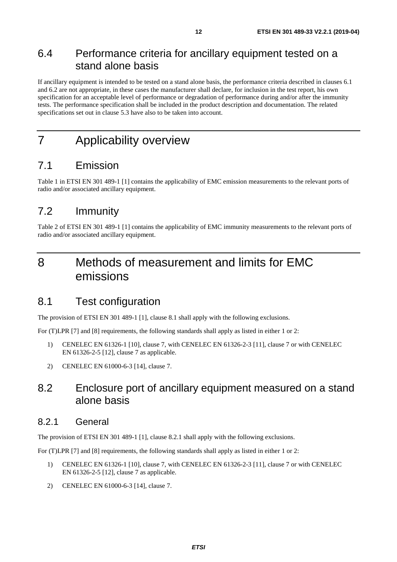# <span id="page-11-0"></span>6.4 Performance criteria for ancillary equipment tested on a stand alone basis

If ancillary equipment is intended to be tested on a stand alone basis, the performance criteria described in clauses 6.1 and 6.2 are not appropriate, in these cases the manufacturer shall declare, for inclusion in the test report, his own specification for an acceptable level of performance or degradation of performance during and/or after the immunity tests. The performance specification shall be included in the product description and documentation. The related specifications set out in clause 5.3 have also to be taken into account.

# 7 Applicability overview

# 7.1 Emission

Table 1 in ETSI EN 301 489-1 [\[1](#page-6-0)] contains the applicability of EMC emission measurements to the relevant ports of radio and/or associated ancillary equipment.

# 7.2 Immunity

Table 2 of ETSI EN 301 489-1 [\[1](#page-6-0)] contains the applicability of EMC immunity measurements to the relevant ports of radio and/or associated ancillary equipment.

# 8 Methods of measurement and limits for EMC emissions

### 8.1 Test configuration

The provision of ETSI EN 301 489-1 [[1\]](#page-6-0), clause 8.1 shall apply with the following exclusions.

For (T)LPR [[7\]](#page-6-0) and [\[8](#page-6-0)] requirements, the following standards shall apply as listed in either 1 or 2:

- 1) CENELEC EN 61326-1 [[10\]](#page-6-0), clause 7, with CENELEC EN 61326-2-3 [[11\]](#page-6-0), clause 7 or with CENELEC EN 61326-2-5 [[12\]](#page-6-0), clause 7 as applicable.
- 2) CENELEC EN 61000-6-3 [\[14](#page-6-0)], clause 7.

# 8.2 Enclosure port of ancillary equipment measured on a stand alone basis

#### 8.2.1 General

The provision of ETSI EN 301 489-1 [[1\]](#page-6-0), clause 8.2.1 shall apply with the following exclusions.

- 1) CENELEC EN 61326-1 [[10\]](#page-6-0), clause 7, with CENELEC EN 61326-2-3 [[11\]](#page-6-0), clause 7 or with CENELEC EN 61326-2-5 [[12\]](#page-6-0), clause 7 as applicable.
- 2) CENELEC EN 61000-6-3 [\[14](#page-6-0)], clause 7.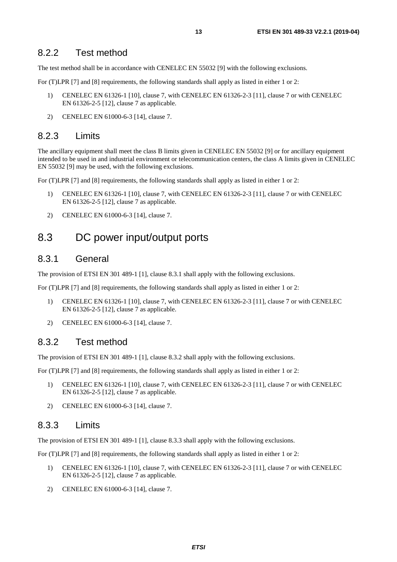#### <span id="page-12-0"></span>8.2.2 Test method

The test method shall be in accordance with CENELEC EN 55032 [\[9](#page-6-0)] with the following exclusions.

For (T)LPR [[7\]](#page-6-0) and [\[8](#page-6-0)] requirements, the following standards shall apply as listed in either 1 or 2:

- 1) CENELEC EN 61326-1 [[10\]](#page-6-0), clause 7, with CENELEC EN 61326-2-3 [[11\]](#page-6-0), clause 7 or with CENELEC EN 61326-2-5 [[12\]](#page-6-0), clause 7 as applicable.
- 2) CENELEC EN 61000-6-3 [\[14](#page-6-0)], clause 7.

#### 8.2.3 Limits

The ancillary equipment shall meet the class B limits given in CENELEC EN 55032 [\[9](#page-6-0)] or for ancillary equipment intended to be used in and industrial environment or telecommunication centers, the class A limits given in CENELEC EN 55032 [\[9](#page-6-0)] may be used, with the following exclusions.

For (T)LPR [[7\]](#page-6-0) and [\[8](#page-6-0)] requirements, the following standards shall apply as listed in either 1 or 2:

- 1) CENELEC EN 61326-1 [[10\]](#page-6-0), clause 7, with CENELEC EN 61326-2-3 [[11\]](#page-6-0), clause 7 or with CENELEC EN 61326-2-5 [[12\]](#page-6-0), clause 7 as applicable.
- 2) CENELEC EN 61000-6-3 [\[14](#page-6-0)], clause 7.

# 8.3 DC power input/output ports

#### 8.3.1 General

The provision of ETSI EN 301 489-1 [[1\]](#page-6-0), clause 8.3.1 shall apply with the following exclusions.

For (T)LPR [[7](#page-6-0)] and [\[8](#page-6-0)] requirements, the following standards shall apply as listed in either 1 or 2:

- 1) CENELEC EN 61326-1 [[10\]](#page-6-0), clause 7, with CENELEC EN 61326-2-3 [[11\]](#page-6-0), clause 7 or with CENELEC EN 61326-2-5 [[12\]](#page-6-0), clause 7 as applicable.
- 2) CENELEC EN 61000-6-3 [\[14](#page-6-0)], clause 7.

#### 8.3.2 Test method

The provision of ETSI EN 301 489-1 [[1\]](#page-6-0), clause 8.3.2 shall apply with the following exclusions.

For (T)LPR [[7\]](#page-6-0) and [\[8](#page-6-0)] requirements, the following standards shall apply as listed in either 1 or 2:

- 1) CENELEC EN 61326-1 [[10\]](#page-6-0), clause 7, with CENELEC EN 61326-2-3 [[11\]](#page-6-0), clause 7 or with CENELEC EN 61326-2-5 [[12\]](#page-6-0), clause 7 as applicable.
- 2) CENELEC EN 61000-6-3 [\[14](#page-6-0)], clause 7.

#### 8.3.3 Limits

The provision of ETSI EN 301 489-1 [[1\]](#page-6-0), clause 8.3.3 shall apply with the following exclusions.

- 1) CENELEC EN 61326-1 [[10\]](#page-6-0), clause 7, with CENELEC EN 61326-2-3 [[11\]](#page-6-0), clause 7 or with CENELEC EN 61326-2-5 [[12\]](#page-6-0), clause 7 as applicable.
- 2) CENELEC EN 61000-6-3 [\[14](#page-6-0)], clause 7.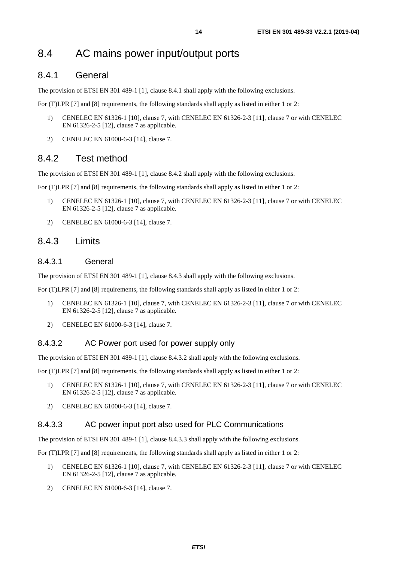# <span id="page-13-0"></span>8.4 AC mains power input/output ports

#### 8.4.1 General

The provision of ETSI EN 301 489-1 [[1\]](#page-6-0), clause 8.4.1 shall apply with the following exclusions.

For (T)LPR [[7\]](#page-6-0) and [\[8](#page-6-0)] requirements, the following standards shall apply as listed in either 1 or 2:

- 1) CENELEC EN 61326-1 [[10\]](#page-6-0), clause 7, with CENELEC EN 61326-2-3 [[11\]](#page-6-0), clause 7 or with CENELEC EN 61326-2-5 [[12\]](#page-6-0), clause 7 as applicable.
- 2) CENELEC EN 61000-6-3 [\[14](#page-6-0)], clause 7.

#### 8.4.2 Test method

The provision of ETSI EN 301 489-1 [[1\]](#page-6-0), clause 8.4.2 shall apply with the following exclusions.

For (T)LPR [[7\]](#page-6-0) and [\[8](#page-6-0)] requirements, the following standards shall apply as listed in either 1 or 2:

- 1) CENELEC EN 61326-1 [[10\]](#page-6-0), clause 7, with CENELEC EN 61326-2-3 [[11\]](#page-6-0), clause 7 or with CENELEC EN 61326-2-5 [[12\]](#page-6-0), clause 7 as applicable.
- 2) CENELEC EN 61000-6-3 [\[14](#page-6-0)], clause 7.

#### 8.4.3 Limits

#### 8.4.3.1 General

The provision of ETSI EN 301 489-1 [[1\]](#page-6-0), clause 8.4.3 shall apply with the following exclusions.

For (T)LPR [[7\]](#page-6-0) and [\[8](#page-6-0)] requirements, the following standards shall apply as listed in either 1 or 2:

- 1) CENELEC EN 61326-1 [[10\]](#page-6-0), clause 7, with CENELEC EN 61326-2-3 [[11\]](#page-6-0), clause 7 or with CENELEC EN 61326-2-5 [[12\]](#page-6-0), clause 7 as applicable.
- 2) CENELEC EN 61000-6-3 [\[14](#page-6-0)], clause 7.

#### 8.4.3.2 AC Power port used for power supply only

The provision of ETSI EN 301 489-1 [[1\]](#page-6-0), clause 8.4.3.2 shall apply with the following exclusions.

For (T)LPR [[7\]](#page-6-0) and [\[8](#page-6-0)] requirements, the following standards shall apply as listed in either 1 or 2:

- 1) CENELEC EN 61326-1 [[10\]](#page-6-0), clause 7, with CENELEC EN 61326-2-3 [[11\]](#page-6-0), clause 7 or with CENELEC EN 61326-2-5 [[12\]](#page-6-0), clause 7 as applicable.
- 2) CENELEC EN 61000-6-3 [\[14](#page-6-0)], clause 7.

#### 8.4.3.3 AC power input port also used for PLC Communications

The provision of ETSI EN 301 489-1 [[1\]](#page-6-0), clause 8.4.3.3 shall apply with the following exclusions.

- 1) CENELEC EN 61326-1 [[10\]](#page-6-0), clause 7, with CENELEC EN 61326-2-3 [[11\]](#page-6-0), clause 7 or with CENELEC EN 61326-2-5 [[12\]](#page-6-0), clause 7 as applicable.
- 2) CENELEC EN 61000-6-3 [\[14](#page-6-0)], clause 7.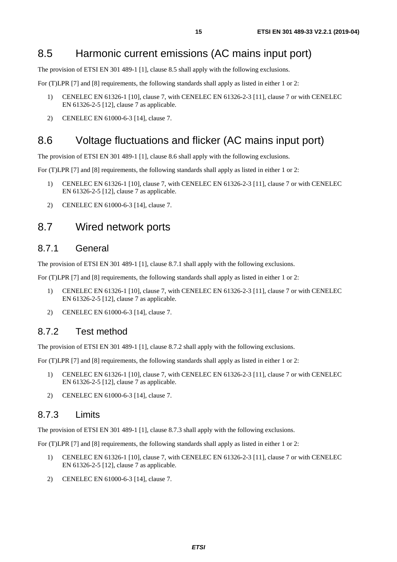# <span id="page-14-0"></span>8.5 Harmonic current emissions (AC mains input port)

The provision of ETSI EN 301 489-1 [[1\]](#page-6-0), clause 8.5 shall apply with the following exclusions.

For (T)LPR [[7\]](#page-6-0) and [\[8](#page-6-0)] requirements, the following standards shall apply as listed in either 1 or 2:

- 1) CENELEC EN 61326-1 [[10\]](#page-6-0), clause 7, with CENELEC EN 61326-2-3 [[11\]](#page-6-0), clause 7 or with CENELEC EN 61326-2-5 [[12\]](#page-6-0), clause 7 as applicable.
- 2) CENELEC EN 61000-6-3 [\[14](#page-6-0)], clause 7.

# 8.6 Voltage fluctuations and flicker (AC mains input port)

The provision of ETSI EN 301 489-1 [[1\]](#page-6-0), clause 8.6 shall apply with the following exclusions.

For (T)LPR [[7](#page-6-0)] and [\[8](#page-6-0)] requirements, the following standards shall apply as listed in either 1 or 2:

- 1) CENELEC EN 61326-1 [[10\]](#page-6-0), clause 7, with CENELEC EN 61326-2-3 [[11\]](#page-6-0), clause 7 or with CENELEC EN 61326-2-5 [[12\]](#page-6-0), clause 7 as applicable.
- 2) CENELEC EN 61000-6-3 [\[14](#page-6-0)], clause 7.

### 8.7 Wired network ports

#### 8.7.1 General

The provision of ETSI EN 301 489-1 [[1\]](#page-6-0), clause 8.7.1 shall apply with the following exclusions.

For (T)LPR [[7\]](#page-6-0) and [\[8](#page-6-0)] requirements, the following standards shall apply as listed in either 1 or 2:

- 1) CENELEC EN 61326-1 [[10\]](#page-6-0), clause 7, with CENELEC EN 61326-2-3 [[11\]](#page-6-0), clause 7 or with CENELEC EN 61326-2-5 [[12\]](#page-6-0), clause 7 as applicable.
- 2) CENELEC EN 61000-6-3 [\[14](#page-6-0)], clause 7.

#### 8.7.2 Test method

The provision of ETSI EN 301 489-1 [[1\]](#page-6-0), clause 8.7.2 shall apply with the following exclusions.

For (T)LPR [[7\]](#page-6-0) and [\[8](#page-6-0)] requirements, the following standards shall apply as listed in either 1 or 2:

- 1) CENELEC EN 61326-1 [[10\]](#page-6-0), clause 7, with CENELEC EN 61326-2-3 [[11\]](#page-6-0), clause 7 or with CENELEC EN 61326-2-5 [[12\]](#page-6-0), clause 7 as applicable.
- 2) CENELEC EN 61000-6-3 [\[14](#page-6-0)], clause 7.

#### 8.7.3 Limits

The provision of ETSI EN 301 489-1 [[1\]](#page-6-0), clause 8.7.3 shall apply with the following exclusions.

- 1) CENELEC EN 61326-1 [[10\]](#page-6-0), clause 7, with CENELEC EN 61326-2-3 [[11\]](#page-6-0), clause 7 or with CENELEC EN 61326-2-5 [[12\]](#page-6-0), clause 7 as applicable.
- 2) CENELEC EN 61000-6-3 [\[14](#page-6-0)], clause 7.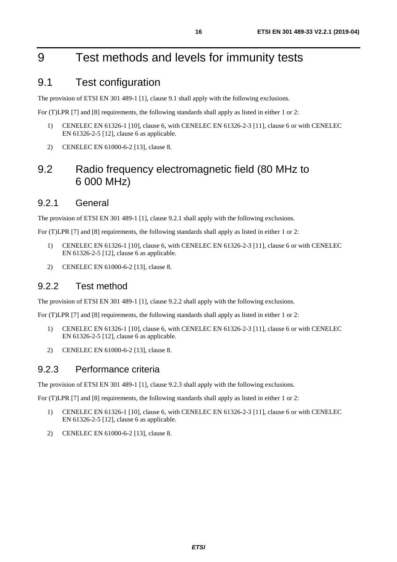# <span id="page-15-0"></span>9 Test methods and levels for immunity tests

# 9.1 Test configuration

The provision of ETSI EN 301 489-1 [[1\]](#page-6-0), clause 9.1 shall apply with the following exclusions.

For (T)LPR [[7\]](#page-6-0) and [\[8](#page-6-0)] requirements, the following standards shall apply as listed in either 1 or 2:

- 1) CENELEC EN 61326-1 [[10\]](#page-6-0), clause 6, with CENELEC EN 61326-2-3 [[11\]](#page-6-0), clause 6 or with CENELEC EN 61326-2-5 [[12\]](#page-6-0), clause 6 as applicable.
- 2) CENELEC EN 61000-6-2 [\[13](#page-6-0)], clause 8.

# 9.2 Radio frequency electromagnetic field (80 MHz to 6 000 MHz)

#### 9.2.1 General

The provision of ETSI EN 301 489-1 [[1\]](#page-6-0), clause 9.2.1 shall apply with the following exclusions.

For (T)LPR [[7\]](#page-6-0) and [\[8](#page-6-0)] requirements, the following standards shall apply as listed in either 1 or 2:

- 1) CENELEC EN 61326-1 [[10\]](#page-6-0), clause 6, with CENELEC EN 61326-2-3 [[11\]](#page-6-0), clause 6 or with CENELEC EN 61326-2-5 [[12\]](#page-6-0), clause 6 as applicable.
- 2) CENELEC EN 61000-6-2 [\[13](#page-6-0)], clause 8.

#### 9.2.2 Test method

The provision of ETSI EN 301 489-1 [[1\]](#page-6-0), clause 9.2.2 shall apply with the following exclusions.

For (T)LPR [[7\]](#page-6-0) and [\[8](#page-6-0)] requirements, the following standards shall apply as listed in either 1 or 2:

- 1) CENELEC EN 61326-1 [[10\]](#page-6-0), clause 6, with CENELEC EN 61326-2-3 [[11\]](#page-6-0), clause 6 or with CENELEC EN 61326-2-5 [[12\]](#page-6-0), clause 6 as applicable.
- 2) CENELEC EN 61000-6-2 [\[13](#page-6-0)], clause 8.

#### 9.2.3 Performance criteria

The provision of ETSI EN 301 489-1 [[1\]](#page-6-0), clause 9.2.3 shall apply with the following exclusions.

- 1) CENELEC EN 61326-1 [[10\]](#page-6-0), clause 6, with CENELEC EN 61326-2-3 [[11\]](#page-6-0), clause 6 or with CENELEC EN 61326-2-5 [[12\]](#page-6-0), clause 6 as applicable.
- 2) CENELEC EN 61000-6-2 [\[13](#page-6-0)], clause 8.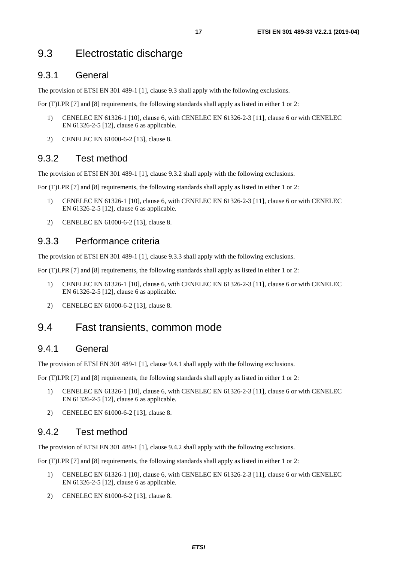# <span id="page-16-0"></span>9.3 Electrostatic discharge

#### 9.3.1 General

The provision of ETSI EN 301 489-1 [[1\]](#page-6-0), clause 9.3 shall apply with the following exclusions.

For (T)LPR [[7\]](#page-6-0) and [\[8](#page-6-0)] requirements, the following standards shall apply as listed in either 1 or 2:

- 1) CENELEC EN 61326-1 [[10\]](#page-6-0), clause 6, with CENELEC EN 61326-2-3 [[11\]](#page-6-0), clause 6 or with CENELEC EN 61326-2-5 [[12\]](#page-6-0), clause 6 as applicable.
- 2) CENELEC EN 61000-6-2 [\[13](#page-6-0)], clause 8.

#### 9.3.2 Test method

The provision of ETSI EN 301 489-1 [[1\]](#page-6-0), clause 9.3.2 shall apply with the following exclusions.

For (T)LPR [[7\]](#page-6-0) and [\[8](#page-6-0)] requirements, the following standards shall apply as listed in either 1 or 2:

- 1) CENELEC EN 61326-1 [[10\]](#page-6-0), clause 6, with CENELEC EN 61326-2-3 [[11\]](#page-6-0), clause 6 or with CENELEC EN 61326-2-5 [[12\]](#page-6-0), clause 6 as applicable.
- 2) CENELEC EN 61000-6-2 [\[13](#page-6-0)], clause 8.

#### 9.3.3 Performance criteria

The provision of ETSI EN 301 489-1 [[1\]](#page-6-0), clause 9.3.3 shall apply with the following exclusions.

For (T)LPR [[7\]](#page-6-0) and [\[8](#page-6-0)] requirements, the following standards shall apply as listed in either 1 or 2:

- 1) CENELEC EN 61326-1 [[10\]](#page-6-0), clause 6, with CENELEC EN 61326-2-3 [[11\]](#page-6-0), clause 6 or with CENELEC EN 61326-2-5 [[12\]](#page-6-0), clause 6 as applicable.
- 2) CENELEC EN 61000-6-2 [\[13](#page-6-0)], clause 8.

# 9.4 Fast transients, common mode

#### 9.4.1 General

The provision of ETSI EN 301 489-1 [[1\]](#page-6-0), clause 9.4.1 shall apply with the following exclusions.

For (T)LPR [[7\]](#page-6-0) and [\[8](#page-6-0)] requirements, the following standards shall apply as listed in either 1 or 2:

- 1) CENELEC EN 61326-1 [[10\]](#page-6-0), clause 6, with CENELEC EN 61326-2-3 [[11\]](#page-6-0), clause 6 or with CENELEC EN 61326-2-5 [[12\]](#page-6-0), clause 6 as applicable.
- 2) CENELEC EN 61000-6-2 [\[13](#page-6-0)], clause 8.

#### 9.4.2 Test method

The provision of ETSI EN 301 489-1 [[1\]](#page-6-0), clause 9.4.2 shall apply with the following exclusions.

- 1) CENELEC EN 61326-1 [[10\]](#page-6-0), clause 6, with CENELEC EN 61326-2-3 [[11\]](#page-6-0), clause 6 or with CENELEC EN 61326-2-5 [[12\]](#page-6-0), clause 6 as applicable.
- 2) CENELEC EN 61000-6-2 [\[13](#page-6-0)], clause 8.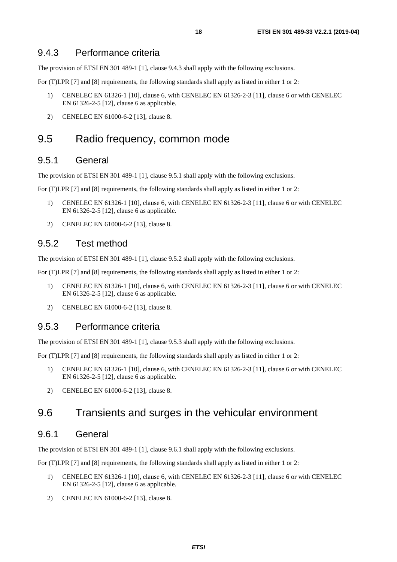<span id="page-17-0"></span>The provision of ETSI EN 301 489-1 [[1\]](#page-6-0), clause 9.4.3 shall apply with the following exclusions.

For (T)LPR [[7\]](#page-6-0) and [\[8](#page-6-0)] requirements, the following standards shall apply as listed in either 1 or 2:

- 1) CENELEC EN 61326-1 [[10\]](#page-6-0), clause 6, with CENELEC EN 61326-2-3 [[11\]](#page-6-0), clause 6 or with CENELEC EN 61326-2-5 [[12\]](#page-6-0), clause 6 as applicable.
- 2) CENELEC EN 61000-6-2 [\[13](#page-6-0)], clause 8.

### 9.5 Radio frequency, common mode

#### 9.5.1 General

The provision of ETSI EN 301 489-1 [[1\]](#page-6-0), clause 9.5.1 shall apply with the following exclusions.

For (T)LPR [[7\]](#page-6-0) and [\[8](#page-6-0)] requirements, the following standards shall apply as listed in either 1 or 2:

- 1) CENELEC EN 61326-1 [[10\]](#page-6-0), clause 6, with CENELEC EN 61326-2-3 [[11\]](#page-6-0), clause 6 or with CENELEC EN 61326-2-5 [[12\]](#page-6-0), clause 6 as applicable.
- 2) CENELEC EN 61000-6-2 [\[13](#page-6-0)], clause 8.

#### 9.5.2 Test method

The provision of ETSI EN 301 489-1 [[1\]](#page-6-0), clause 9.5.2 shall apply with the following exclusions.

For (T)LPR [[7\]](#page-6-0) and [\[8](#page-6-0)] requirements, the following standards shall apply as listed in either 1 or 2:

- 1) CENELEC EN 61326-1 [[10\]](#page-6-0), clause 6, with CENELEC EN 61326-2-3 [[11\]](#page-6-0), clause 6 or with CENELEC EN 61326-2-5 [[12\]](#page-6-0), clause 6 as applicable.
- 2) CENELEC EN 61000-6-2 [\[13](#page-6-0)], clause 8.

#### 9.5.3 Performance criteria

The provision of ETSI EN 301 489-1 [[1\]](#page-6-0), clause 9.5.3 shall apply with the following exclusions.

For (T)LPR [[7\]](#page-6-0) and [\[8](#page-6-0)] requirements, the following standards shall apply as listed in either 1 or 2:

- 1) CENELEC EN 61326-1 [[10\]](#page-6-0), clause 6, with CENELEC EN 61326-2-3 [[11\]](#page-6-0), clause 6 or with CENELEC EN 61326-2-5 [[12\]](#page-6-0), clause 6 as applicable.
- 2) CENELEC EN 61000-6-2 [\[13](#page-6-0)], clause 8.

# 9.6 Transients and surges in the vehicular environment

#### 9.6.1 General

The provision of ETSI EN 301 489-1 [[1\]](#page-6-0), clause 9.6.1 shall apply with the following exclusions.

- 1) CENELEC EN 61326-1 [[10\]](#page-6-0), clause 6, with CENELEC EN 61326-2-3 [[11\]](#page-6-0), clause 6 or with CENELEC EN 61326-2-5 [[12\]](#page-6-0), clause 6 as applicable.
- 2) CENELEC EN 61000-6-2 [\[13](#page-6-0)], clause 8.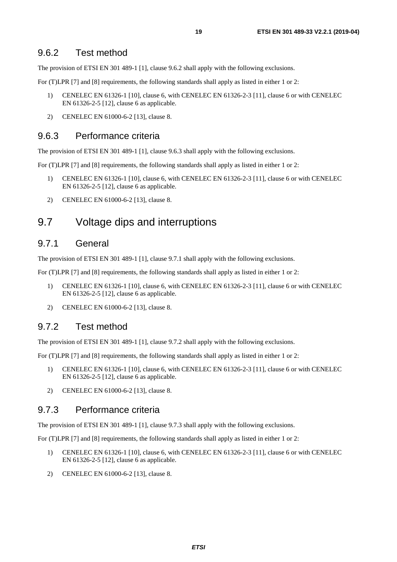<span id="page-18-0"></span>The provision of ETSI EN 301 489-1 [[1\]](#page-6-0), clause 9.6.2 shall apply with the following exclusions.

For (T)LPR [[7\]](#page-6-0) and [\[8](#page-6-0)] requirements, the following standards shall apply as listed in either 1 or 2:

- 1) CENELEC EN 61326-1 [[10\]](#page-6-0), clause 6, with CENELEC EN 61326-2-3 [[11\]](#page-6-0), clause 6 or with CENELEC EN 61326-2-5 [[12\]](#page-6-0), clause 6 as applicable.
- 2) CENELEC EN 61000-6-2 [\[13](#page-6-0)], clause 8.

#### 9.6.3 Performance criteria

The provision of ETSI EN 301 489-1 [[1\]](#page-6-0), clause 9.6.3 shall apply with the following exclusions.

For (T)LPR [[7\]](#page-6-0) and [\[8](#page-6-0)] requirements, the following standards shall apply as listed in either 1 or 2:

- 1) CENELEC EN 61326-1 [[10\]](#page-6-0), clause 6, with CENELEC EN 61326-2-3 [[11\]](#page-6-0), clause 6 or with CENELEC EN 61326-2-5 [[12\]](#page-6-0), clause 6 as applicable.
- 2) CENELEC EN 61000-6-2 [\[13](#page-6-0)], clause 8.

# 9.7 Voltage dips and interruptions

#### 9.7.1 General

The provision of ETSI EN 301 489-1 [[1\]](#page-6-0), clause 9.7.1 shall apply with the following exclusions.

For (T)LPR [[7\]](#page-6-0) and [\[8](#page-6-0)] requirements, the following standards shall apply as listed in either 1 or 2:

- 1) CENELEC EN 61326-1 [[10\]](#page-6-0), clause 6, with CENELEC EN 61326-2-3 [[11\]](#page-6-0), clause 6 or with CENELEC EN 61326-2-5 [[12\]](#page-6-0), clause 6 as applicable.
- 2) CENELEC EN 61000-6-2 [\[13](#page-6-0)], clause 8.

#### 9.7.2 Test method

The provision of ETSI EN 301 489-1 [[1\]](#page-6-0), clause 9.7.2 shall apply with the following exclusions.

For (T)LPR [[7\]](#page-6-0) and [\[8](#page-6-0)] requirements, the following standards shall apply as listed in either 1 or 2:

- 1) CENELEC EN 61326-1 [[10\]](#page-6-0), clause 6, with CENELEC EN 61326-2-3 [[11\]](#page-6-0), clause 6 or with CENELEC EN 61326-2-5 [[12\]](#page-6-0), clause 6 as applicable.
- 2) CENELEC EN 61000-6-2 [\[13](#page-6-0)], clause 8.

#### 9.7.3 Performance criteria

The provision of ETSI EN 301 489-1 [[1\]](#page-6-0), clause 9.7.3 shall apply with the following exclusions.

- 1) CENELEC EN 61326-1 [[10\]](#page-6-0), clause 6, with CENELEC EN 61326-2-3 [[11\]](#page-6-0), clause 6 or with CENELEC EN 61326-2-5 [[12\]](#page-6-0), clause 6 as applicable.
- 2) CENELEC EN 61000-6-2 [\[13](#page-6-0)], clause 8.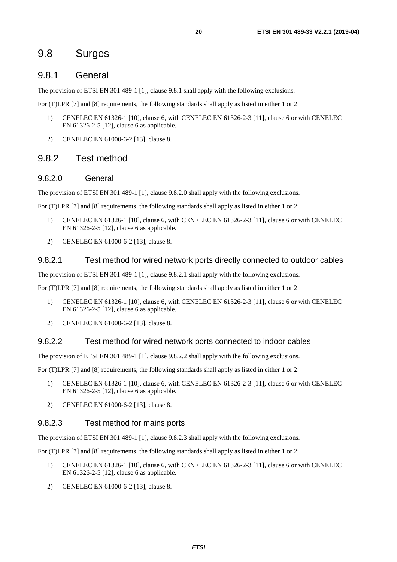### <span id="page-19-0"></span>9.8 Surges

#### 9.8.1 General

The provision of ETSI EN 301 489-1 [[1\]](#page-6-0), clause 9.8.1 shall apply with the following exclusions.

For (T)LPR [[7\]](#page-6-0) and [\[8](#page-6-0)] requirements, the following standards shall apply as listed in either 1 or 2:

- 1) CENELEC EN 61326-1 [[10\]](#page-6-0), clause 6, with CENELEC EN 61326-2-3 [[11\]](#page-6-0), clause 6 or with CENELEC EN 61326-2-5 [[12\]](#page-6-0), clause 6 as applicable.
- 2) CENELEC EN 61000-6-2 [\[13](#page-6-0)], clause 8.

#### 9.8.2 Test method

#### 9.8.2.0 General

The provision of ETSI EN 301 489-1 [[1\]](#page-6-0), clause 9.8.2.0 shall apply with the following exclusions.

For (T)LPR [[7\]](#page-6-0) and [\[8](#page-6-0)] requirements, the following standards shall apply as listed in either 1 or 2:

- 1) CENELEC EN 61326-1 [[10\]](#page-6-0), clause 6, with CENELEC EN 61326-2-3 [[11\]](#page-6-0), clause 6 or with CENELEC EN 61326-2-5 [[12\]](#page-6-0), clause 6 as applicable.
- 2) CENELEC EN 61000-6-2 [\[13](#page-6-0)], clause 8.

#### 9.8.2.1 Test method for wired network ports directly connected to outdoor cables

The provision of ETSI EN 301 489-1 [[1\]](#page-6-0), clause 9.8.2.1 shall apply with the following exclusions.

For (T)LPR [[7\]](#page-6-0) and [\[8](#page-6-0)] requirements, the following standards shall apply as listed in either 1 or 2:

- 1) CENELEC EN 61326-1 [[10\]](#page-6-0), clause 6, with CENELEC EN 61326-2-3 [[11\]](#page-6-0), clause 6 or with CENELEC EN 61326-2-5 [[12\]](#page-6-0), clause 6 as applicable.
- 2) CENELEC EN 61000-6-2 [\[13](#page-6-0)], clause 8.

#### 9.8.2.2 Test method for wired network ports connected to indoor cables

The provision of ETSI EN 301 489-1 [[1\]](#page-6-0), clause 9.8.2.2 shall apply with the following exclusions.

For (T)LPR [[7\]](#page-6-0) and [\[8](#page-6-0)] requirements, the following standards shall apply as listed in either 1 or 2:

- 1) CENELEC EN 61326-1 [[10\]](#page-6-0), clause 6, with CENELEC EN 61326-2-3 [[11\]](#page-6-0), clause 6 or with CENELEC EN 61326-2-5 [[12\]](#page-6-0), clause 6 as applicable.
- 2) CENELEC EN 61000-6-2 [\[13](#page-6-0)], clause 8.

#### 9.8.2.3 Test method for mains ports

The provision of ETSI EN 301 489-1 [[1\]](#page-6-0), clause 9.8.2.3 shall apply with the following exclusions.

- 1) CENELEC EN 61326-1 [[10\]](#page-6-0), clause 6, with CENELEC EN 61326-2-3 [[11\]](#page-6-0), clause 6 or with CENELEC EN 61326-2-5 [[12\]](#page-6-0), clause 6 as applicable.
- 2) CENELEC EN 61000-6-2 [\[13](#page-6-0)], clause 8.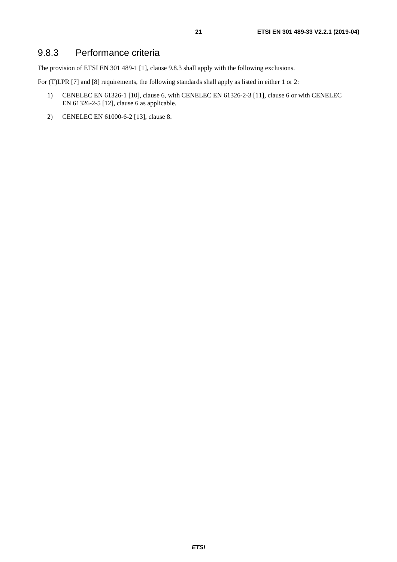### <span id="page-20-0"></span>9.8.3 Performance criteria

The provision of ETSI EN 301 489-1 [[1\]](#page-6-0), clause 9.8.3 shall apply with the following exclusions.

- 1) CENELEC EN 61326-1 [[10\]](#page-6-0), clause 6, with CENELEC EN 61326-2-3 [[11\]](#page-6-0), clause 6 or with CENELEC EN 61326-2-5 [[12\]](#page-6-0), clause 6 as applicable.
- 2) CENELEC EN 61000-6-2 [\[13](#page-6-0)], clause 8.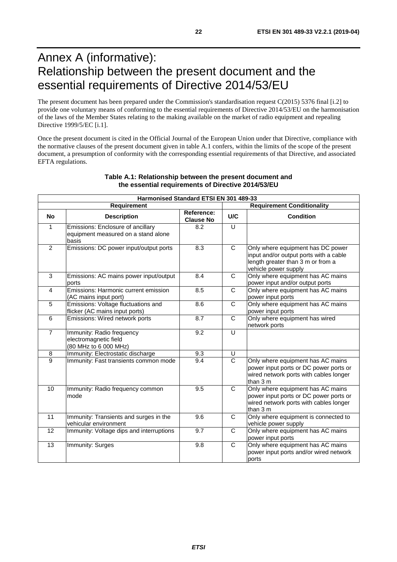# <span id="page-21-0"></span>Annex A (informative): Relationship between the present document and the essential requirements of Directive 2014/53/EU

The present document has been prepared under the Commission's standardisation request C(2015) 5376 final [\[i.2\]](#page-7-0) to provide one voluntary means of conforming to the essential requirements of Directive 2014/53/EU on the harmonisation of the laws of the Member States relating to the making available on the market of radio equipment and repealing Directive 1999/5/EC [\[i.1](#page-7-0)].

Once the present document is cited in the Official Journal of the European Union under that Directive, compliance with the normative clauses of the present document given in table A.1 confers, within the limits of the scope of the present document, a presumption of conformity with the corresponding essential requirements of that Directive, and associated EFTA regulations.

| Harmonised Standard ETSI EN 301 489-33           |                                                                                   |                                |                         |                                                                                                                                          |  |  |
|--------------------------------------------------|-----------------------------------------------------------------------------------|--------------------------------|-------------------------|------------------------------------------------------------------------------------------------------------------------------------------|--|--|
| <b>Requirement Conditionality</b><br>Requirement |                                                                                   |                                |                         |                                                                                                                                          |  |  |
| <b>No</b>                                        | <b>Description</b>                                                                | Reference:<br><b>Clause No</b> | U/C                     | <b>Condition</b>                                                                                                                         |  |  |
| $\mathbf{1}$                                     | Emissions: Enclosure of ancillary<br>equipment measured on a stand alone<br>basis | 8.2                            | $\cup$                  |                                                                                                                                          |  |  |
| $\overline{2}$                                   | Emissions: DC power input/output ports                                            | 8.3                            | $\mathsf{C}$            | Only where equipment has DC power<br>input and/or output ports with a cable<br>length greater than 3 m or from a<br>vehicle power supply |  |  |
| $\mathbf{3}$                                     | Emissions: AC mains power input/output<br>ports                                   | 8.4                            | C                       | Only where equipment has AC mains<br>power input and/or output ports                                                                     |  |  |
| 4                                                | Emissions: Harmonic current emission<br>(AC mains input port)                     | 8.5                            | C                       | Only where equipment has AC mains<br>power input ports                                                                                   |  |  |
| 5                                                | Emissions: Voltage fluctuations and<br>flicker (AC mains input ports)             | 8.6                            | C                       | Only where equipment has AC mains<br>power input ports                                                                                   |  |  |
| 6                                                | Emissions: Wired network ports                                                    | 8.7                            | C                       | Only where equipment has wired<br>network ports                                                                                          |  |  |
| $\overline{7}$                                   | Immunity: Radio frequency<br>electromagnetic field<br>(80 MHz to 6 000 MHz)       | 9.2                            | U                       |                                                                                                                                          |  |  |
| $\bf 8$                                          | Immunity: Electrostatic discharge                                                 | 9.3                            | U                       |                                                                                                                                          |  |  |
| $\overline{9}$                                   | Immunity: Fast transients common mode                                             | 9.4                            | $\overline{C}$          | Only where equipment has AC mains<br>power input ports or DC power ports or<br>wired network ports with cables longer<br>than 3 m        |  |  |
| 10                                               | Immunity: Radio frequency common<br>mode                                          | 9.5                            | $\overline{\mathsf{c}}$ | Only where equipment has AC mains<br>power input ports or DC power ports or<br>wired network ports with cables longer<br>than 3 m        |  |  |
| 11                                               | Immunity: Transients and surges in the<br>vehicular environment                   | 9.6                            | $\mathsf{C}$            | Only where equipment is connected to<br>vehicle power supply                                                                             |  |  |
| 12                                               | Immunity: Voltage dips and interruptions                                          | 9.7                            | $\mathsf{C}$            | Only where equipment has AC mains<br>power input ports                                                                                   |  |  |
| 13                                               | Immunity: Surges                                                                  | 9.8                            | $\mathsf{C}$            | Only where equipment has AC mains<br>power input ports and/or wired network<br>ports                                                     |  |  |

#### **Table A.1: Relationship between the present document and the essential requirements of Directive 2014/53/EU**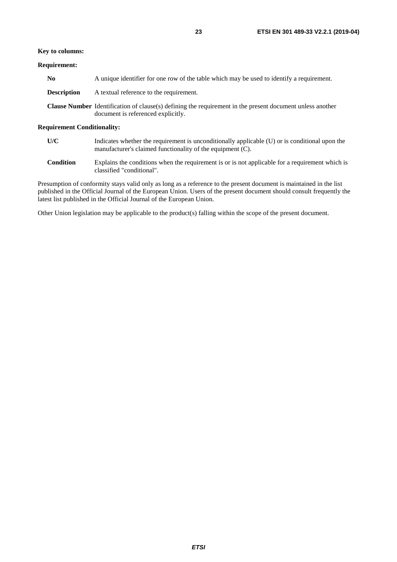#### **Requirement:**

| No          | A unique identifier for one row of the table which may be used to identify a requirement.                                                              |
|-------------|--------------------------------------------------------------------------------------------------------------------------------------------------------|
| Description | A textual reference to the requirement.                                                                                                                |
|             | <b>Clause Number</b> Identification of clause(s) defining the requirement in the present document unless another<br>document is referenced explicitly. |

#### **Requirement Conditionality:**

| U/C | Indicates whether the requirement is unconditionally applicable (U) or is conditional upon the |
|-----|------------------------------------------------------------------------------------------------|
|     | manufacturer's claimed functionality of the equipment (C).                                     |

**Condition** Explains the conditions when the requirement is or is not applicable for a requirement which is classified "conditional".

Presumption of conformity stays valid only as long as a reference to the present document is maintained in the list published in the Official Journal of the European Union. Users of the present document should consult frequently the latest list published in the Official Journal of the European Union.

Other Union legislation may be applicable to the product(s) falling within the scope of the present document.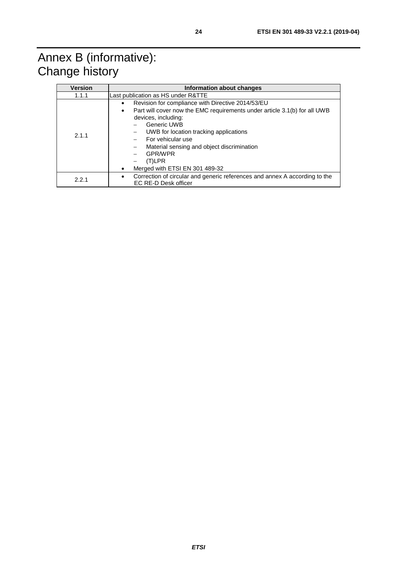# <span id="page-23-0"></span>Annex B (informative): Change history

| <b>Version</b> | Information about changes                                                                                                                                                                                                                                                                                                                                            |  |  |  |
|----------------|----------------------------------------------------------------------------------------------------------------------------------------------------------------------------------------------------------------------------------------------------------------------------------------------------------------------------------------------------------------------|--|--|--|
| 1.1.1          | Last publication as HS under R&TTE                                                                                                                                                                                                                                                                                                                                   |  |  |  |
| 2.1.1          | Revision for compliance with Directive 2014/53/EU<br>٠<br>Part will cover now the EMC requirements under article 3.1(b) for all UWB<br>$\bullet$<br>devices, including:<br>Generic UWB<br>UWB for location tracking applications<br>For vehicular use<br>Material sensing and object discrimination<br><b>GPR/WPR</b><br>$(T)$ LPR<br>Merged with ETSI EN 301 489-32 |  |  |  |
| 2.2.1          | Correction of circular and generic references and annex A according to the<br>$\bullet$<br>EC RE-D Desk officer                                                                                                                                                                                                                                                      |  |  |  |